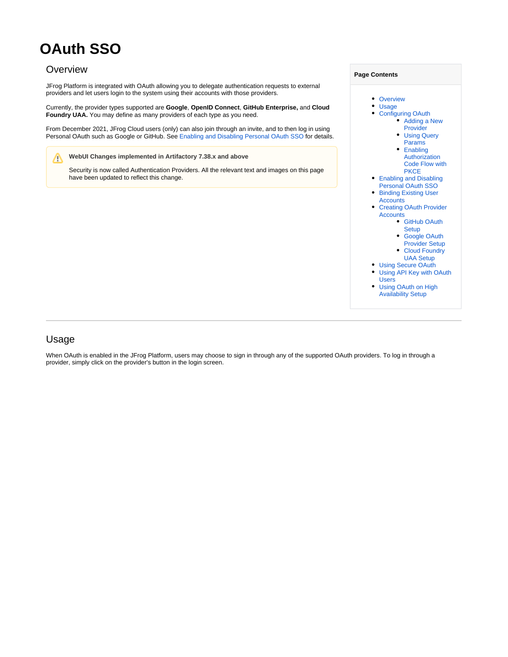# **OAuth SSO**

# <span id="page-0-0"></span>**Overview**

JFrog Platform is integrated with OAuth allowing you to delegate authentication requests to external providers and let users login to the system using their accounts with those providers.

Currently, the provider types supported are **Google**, **OpenID Connect**, **GitHub Enterprise,** and **Cloud Foundry UAA.** You may define as many providers of each type as you need.

From December 2021, JFrog Cloud users (only) can also join through an invite, and to then log in using Personal OAuth such as Google or GitHub. See [Enabling and Disabling Personal OAuth SSO](#page-6-0) for details.

#### **WebUI Changes implemented in Artifactory 7.38.x and above** Λ

Security is now called Authentication Providers. All the relevant text and images on this page have been updated to reflect this change.



# <span id="page-0-1"></span>Usage

When OAuth is enabled in the JFrog Platform, users may choose to sign in through any of the supported OAuth providers. To log in through a provider, simply click on the provider's button in the login screen.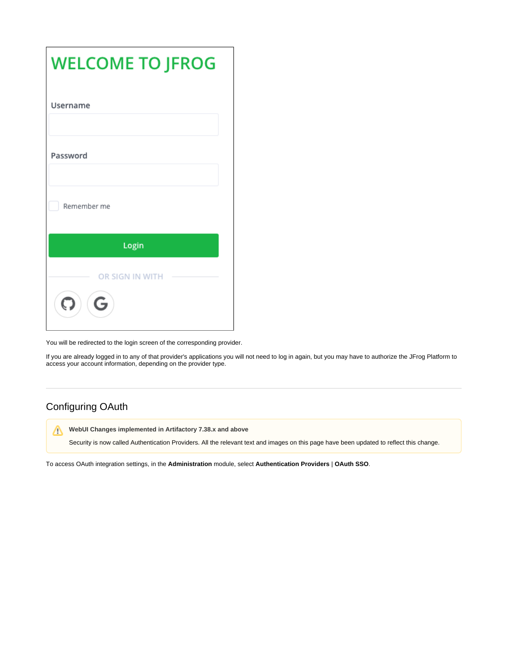| <b>WELCOME TO JFROG</b> |
|-------------------------|
| Username                |
| Password                |
| Remember me             |
| Login                   |
| OR SIGN IN WITH<br>G    |

You will be redirected to the login screen of the corresponding provider.

If you are already logged in to any of that provider's applications you will not need to log in again, but you may have to authorize the JFrog Platform to access your account information, depending on the provider type.

# <span id="page-1-0"></span>Configuring OAuth

**WebUI Changes implemented in Artifactory 7.38.x and above**

Security is now called Authentication Providers. All the relevant text and images on this page have been updated to reflect this change.

To access OAuth integration settings, in the **Administration** module, select **Authentication Providers** | **OAuth SSO**.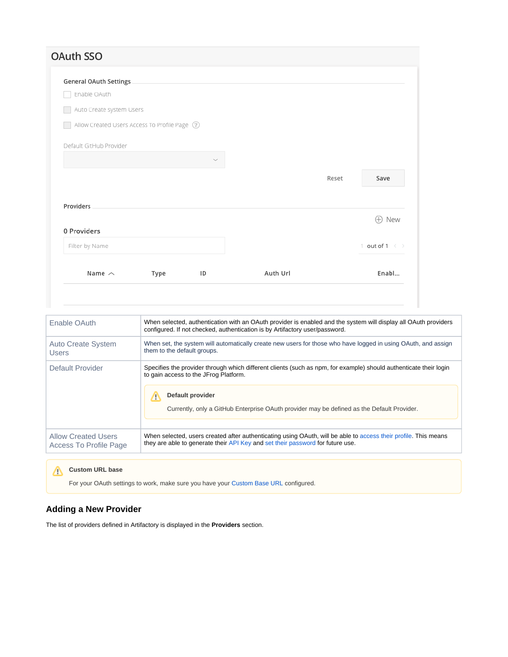# **OAuth SSO**

| Name $\sim$                                    | Type | ID | Auth Url |       | Enabl                        |
|------------------------------------------------|------|----|----------|-------|------------------------------|
| Filter by Name                                 |      |    |          |       | 1 out of 1 $\langle \rangle$ |
| 0 Providers                                    |      |    |          |       | New<br>$\oplus$              |
| Providers                                      |      |    |          |       |                              |
|                                                |      |    |          | Reset | Save                         |
|                                                |      |    |          |       |                              |
| Default GitHub Provider                        |      |    |          |       |                              |
| Allow Created Users Access To Profile Page (?) |      |    |          |       |                              |
| Auto Create system Users                       |      |    |          |       |                              |
| Enable OAuth                                   |      |    |          |       |                              |
| <b>General OAuth Settings</b>                  |      |    |          |       |                              |

| Enable OAuth               | When selected, authentication with an OAuth provider is enabled and the system will display all OAuth providers<br>configured. If not checked, authentication is by Artifactory user/password.                                                                                    |
|----------------------------|-----------------------------------------------------------------------------------------------------------------------------------------------------------------------------------------------------------------------------------------------------------------------------------|
| <b>Auto Create System</b>  | When set, the system will automatically create new users for those who have logged in using OAuth, and assign                                                                                                                                                                     |
| <b>Users</b>               | them to the default groups.                                                                                                                                                                                                                                                       |
| Default Provider           | Specifies the provider through which different clients (such as npm, for example) should authenticate their login<br>to gain access to the JFrog Platform.<br>Default provider<br>т<br>Currently, only a GitHub Enterprise OAuth provider may be defined as the Default Provider. |
| <b>Allow Created Users</b> | When selected, users created after authenticating using OAuth, will be able to access their profile. This means                                                                                                                                                                   |
| Access To Profile Page     | they are able to generate their API Key and set their password for future use.                                                                                                                                                                                                    |

# **Custom URL base**

For your OAuth settings to work, make sure you have your [Custom Base URL](https://www.jfrog.com/confluence/display/JFROG/General+System+Settings#GeneralSystemSettings-GeneralSettings) configured.

# <span id="page-2-0"></span>**Adding a New Provider**

The list of providers defined in Artifactory is displayed in the **Providers** section.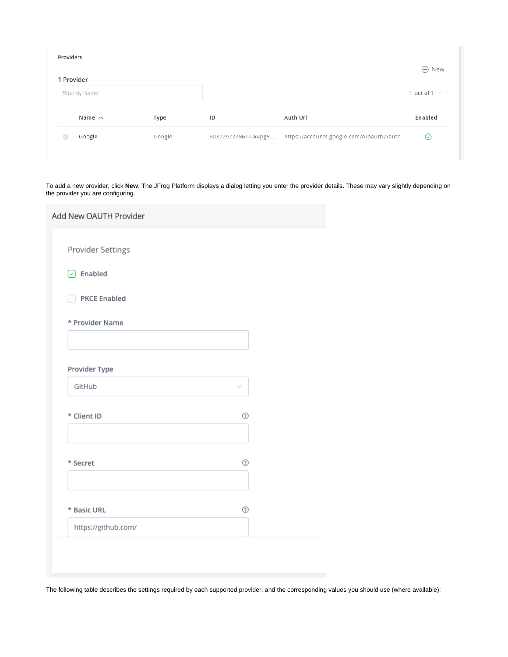|   | 1 Provider     |        |                     |                                           | $\oplus$ New                 |
|---|----------------|--------|---------------------|-------------------------------------------|------------------------------|
|   | Filter by Name |        |                     |                                           | 1 out of 1 $\langle \rangle$ |
|   | Name $\sim$    | Type   | ID                  | Auth Url                                  | Enabled                      |
| M | Google         | Google | 603729227861-uk4pg5 | https://accounts.google.com/o/oauth2/auth | ⊙                            |

To add a new provider, click **New**. The JFrog Platform displays a dialog letting you enter the provider details. These may vary slightly depending on the provider you are configuring.

| Add New OAUTH Provider |              |  |
|------------------------|--------------|--|
|                        |              |  |
| Provider Settings      |              |  |
| $\boxed{\vee}$ Enabled |              |  |
| <b>PKCE Enabled</b>    |              |  |
| * Provider Name        |              |  |
|                        |              |  |
| Provider Type          |              |  |
| GitHub                 | $\checkmark$ |  |
| * Client ID            | ⊚            |  |
|                        |              |  |
| * Secret               | ⊚            |  |
|                        |              |  |
| * Basic URL            | ℗            |  |
| https://github.com/    |              |  |
|                        |              |  |
|                        |              |  |

The following table describes the settings required by each supported provider, and the corresponding values you should use (where available):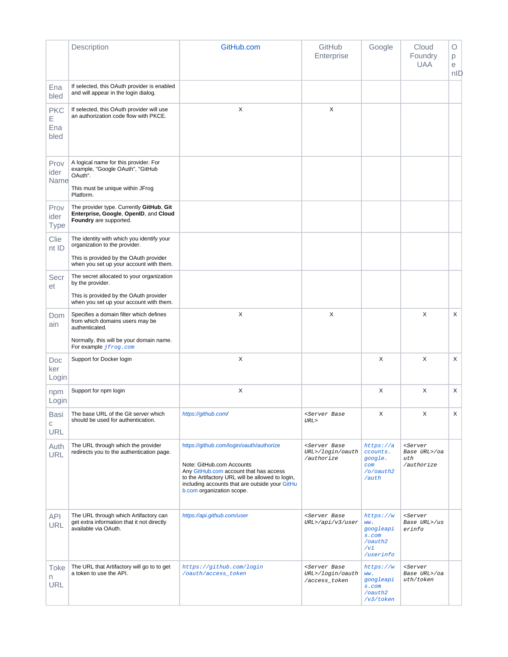<span id="page-4-1"></span><span id="page-4-0"></span>

|                                | Description                                                                                                                           | GitHub.com                                                                                                                                                                                                                                         | GitHub<br>Enterprise                                              | Google                                                                | Cloud<br>Foundry<br><b>UAA</b>                                | O<br>р<br>е<br>nID |
|--------------------------------|---------------------------------------------------------------------------------------------------------------------------------------|----------------------------------------------------------------------------------------------------------------------------------------------------------------------------------------------------------------------------------------------------|-------------------------------------------------------------------|-----------------------------------------------------------------------|---------------------------------------------------------------|--------------------|
| Ena<br>bled                    | If selected, this OAuth provider is enabled<br>and will appear in the login dialog.                                                   |                                                                                                                                                                                                                                                    |                                                                   |                                                                       |                                                               |                    |
| <b>PKC</b><br>Е<br>Ena<br>bled | If selected, this OAuth provider will use<br>an authorization code flow with PKCE.                                                    | X                                                                                                                                                                                                                                                  | X                                                                 |                                                                       |                                                               |                    |
| Prov<br>ider<br>Name           | A logical name for this provider. For<br>example, "Google OAuth", "GitHub<br>OAuth".<br>This must be unique within JFrog<br>Platform. |                                                                                                                                                                                                                                                    |                                                                   |                                                                       |                                                               |                    |
| Prov<br>ider<br><b>Type</b>    | The provider type. Currently GitHub, Git<br>Enterprise, Google, OpenID, and Cloud<br>Foundry are supported.                           |                                                                                                                                                                                                                                                    |                                                                   |                                                                       |                                                               |                    |
| Clie<br>nt ID                  | The identity with which you identify your<br>organization to the provider.<br>This is provided by the OAuth provider                  |                                                                                                                                                                                                                                                    |                                                                   |                                                                       |                                                               |                    |
| Secr<br>et                     | when you set up your account with them.<br>The secret allocated to your organization<br>by the provider.                              |                                                                                                                                                                                                                                                    |                                                                   |                                                                       |                                                               |                    |
|                                | This is provided by the OAuth provider<br>when you set up your account with them.                                                     |                                                                                                                                                                                                                                                    |                                                                   |                                                                       |                                                               |                    |
| Dom<br>ain                     | Specifies a domain filter which defines<br>from which domains users may be<br>authenticated.                                          | X                                                                                                                                                                                                                                                  | X                                                                 |                                                                       | X                                                             | X                  |
|                                | Normally, this will be your domain name.<br>For example <i>jfrog.com</i>                                                              |                                                                                                                                                                                                                                                    |                                                                   |                                                                       |                                                               |                    |
| Doc<br>ker<br>Login            | Support for Docker login                                                                                                              | X                                                                                                                                                                                                                                                  |                                                                   | Χ                                                                     | X                                                             | X                  |
| npm<br>Login                   | Support for npm login                                                                                                                 | X                                                                                                                                                                                                                                                  |                                                                   | X                                                                     | X                                                             | X                  |
| Basi<br>C<br><b>URL</b>        | The base URL of the Git server which<br>should be used for authentication.                                                            | https://github.com/                                                                                                                                                                                                                                | <server base<br="">URL&gt;</server>                               | Х                                                                     | Χ                                                             | $\mathsf X$        |
| Auth<br><b>URL</b>             | The URL through which the provider<br>redirects you to the authentication page.                                                       | https://github.com/login/oauth/authorize<br>Note: GitHub.com Accounts<br>Any GitHub.com account that has access<br>to the Artifactory URL will be allowed to login,<br>including accounts that are outside your GitHu<br>b.com organization scope. | <server base<br="">URL&gt;/login/oauth<br/>/authorize</server>    | https://a<br>ccounts.<br>google.<br>com<br>/o/oauth2<br>/auth         | <server<br>Base URL&gt;/oa<br/>uth<br/>/authorize</server<br> |                    |
| <b>API</b><br><b>URL</b>       | The URL through which Artifactory can<br>get extra information that it not directly<br>available via OAuth.                           | https://api.github.com/user                                                                                                                                                                                                                        | <server base<br="">URL&gt;/api/v3/user</server>                   | https://w<br>ww.<br>googleapi<br>s.com<br>/oauth2<br>/v1<br>/userinfo | <server<br>Base URL&gt;/us<br/>erinfo</server<br>             |                    |
| <b>Toke</b><br>n<br><b>URL</b> | The URL that Artifactory will go to to get<br>a token to use the API.                                                                 | https://github.com/login<br>/oauth/access_token                                                                                                                                                                                                    | <server base<br="">URL&gt;/login/oauth<br/>/access_token</server> | https://w<br>ww.<br>googleapi<br>s.com<br>/oauth2<br>/v3/token        | <server<br>Base URL&gt;/oa<br/>uth/token</server<br>          |                    |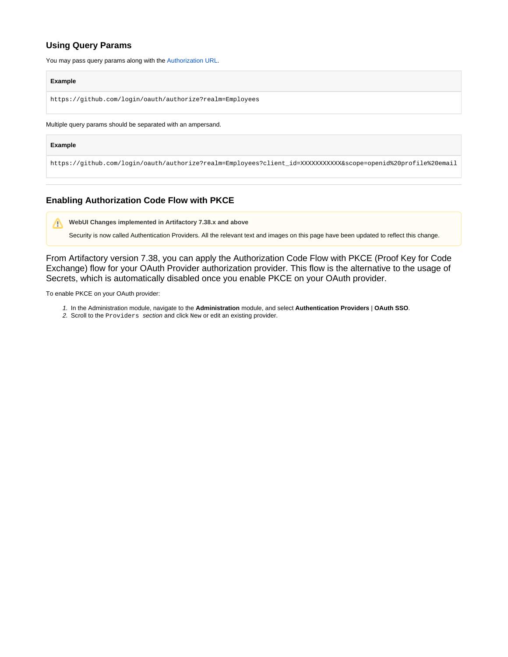# **Using Query Params**

You may pass query params along with the [Authorization URL](#page-4-1).

#### **Example**

https://github.com/login/oauth/authorize?realm=Employees

#### Multiple query params should be separated with an ampersand.

#### **Example**

https://github.com/login/oauth/authorize?realm=Employees?client\_id=XXXXXXXXXXX&scope=openid%20profile%20email

# <span id="page-5-0"></span>**Enabling Authorization Code Flow with PKCE**

Δ **WebUI Changes implemented in Artifactory 7.38.x and above**

Security is now called Authentication Providers. All the relevant text and images on this page have been updated to reflect this change.

From Artifactory version 7.38, you can apply the Authorization Code Flow with PKCE (Proof Key for Code Exchange) flow for your OAuth Provider authorization provider. This flow is the alternative to the usage of Secrets, which is automatically disabled once you enable PKCE on your OAuth provider.

To enable PKCE on your OAuth provider:

- 1. In the Administration module, navigate to the **Administration** module, and select **Authentication Providers** | **OAuth SSO**.
- 2. Scroll to the Providers section and click New or edit an existing provider.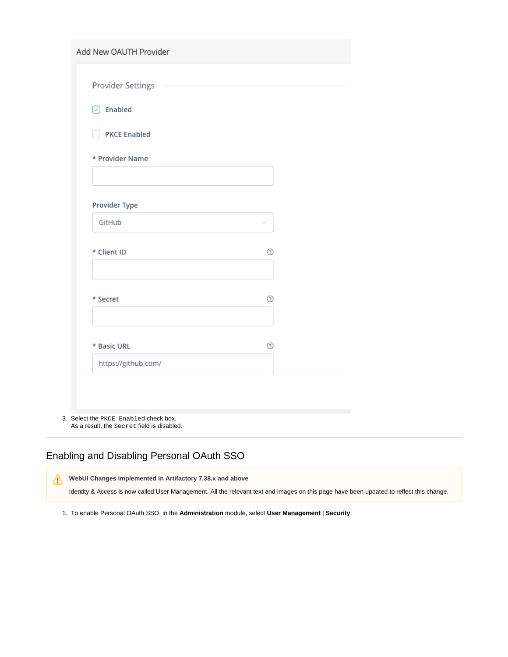| Provider Settings   |   |  |
|---------------------|---|--|
| $\odot$ Enabled     |   |  |
| <b>PKCE Enabled</b> |   |  |
| * Provider Name     |   |  |
|                     |   |  |
| Provider Type       |   |  |
| GitHub              |   |  |
| * Client ID         | ⊚ |  |
| * Secret            | ℗ |  |
| * Basic URL         | ⊚ |  |
| https://github.com/ |   |  |

As a result, the Secret field is disabled.

# <span id="page-6-0"></span>Enabling and Disabling Personal OAuth SSO

Δ **WebUI Changes implemented in Artifactory 7.38.x and above**

Identity & Access is now called User Management. All the relevant text and images on this page have been updated to reflect this change.

1. To enable Personal OAuth SSO, in the **Administration** module, select **User Management** | **Security**.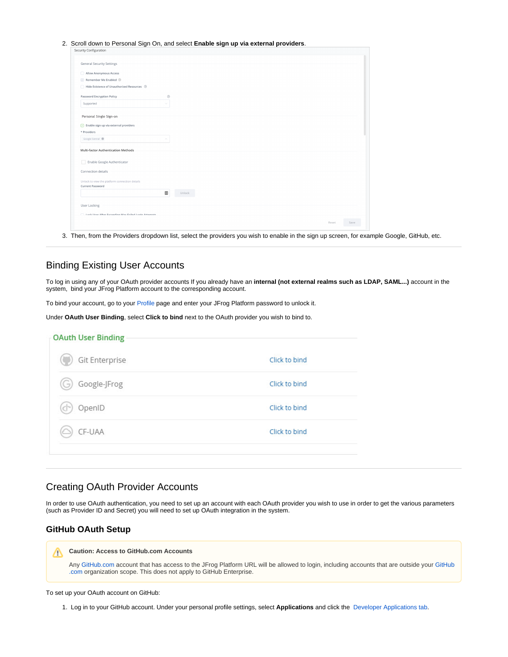| Security Configuration                                 |             |               |
|--------------------------------------------------------|-------------|---------------|
|                                                        |             |               |
| <b>General Security Settings</b>                       |             |               |
| Allow Anonymous Access                                 |             |               |
| Remember Me Enabled 2                                  |             |               |
| Hide Existence of Unauthorized Resources 3             |             |               |
|                                                        |             |               |
| Password Encryption Policy                             | $^{\circ}$  |               |
| Supported                                              | o           |               |
|                                                        |             |               |
| Personal Single Sign-on                                |             |               |
| $\boxed{\smile}$ Enable sign up via external providers |             |               |
| * Providers                                            |             |               |
| Google Central ®                                       |             |               |
|                                                        |             |               |
| Multi-factor Authentication Methods                    |             |               |
| Enable Google Authenticator                            |             |               |
|                                                        |             |               |
| Connection details                                     |             |               |
| Unlock to view the platform connection details         |             |               |
| Current Password                                       |             |               |
|                                                        | ▦<br>Unlock |               |
|                                                        |             |               |
| User Locking                                           |             |               |
| Lock Hear After Eveneding May Esiled Login Attempts    |             |               |
|                                                        |             | Reset<br>Save |

3. Then, from the Providers dropdown list, select the providers you wish to enable in the sign up screen, for example Google, GitHub, etc.

# <span id="page-7-0"></span>Binding Existing User Accounts

To log in using any of your OAuth provider accounts If you already have an **internal (not external realms such as LDAP, SAML...)** account in the system, bind your JFrog Platform account to the corresponding account.

To bind your account, go to your [Profile](https://www.jfrog.com/confluence/display/JFROG/User+Profile) page and enter your JFrog Platform password to unlock it.

Under **OAuth User Binding**, select **Click to bind** next to the OAuth provider you wish to bind to.

| Git Enterprise      | Click to bind |
|---------------------|---------------|
| Google-JFrog<br>'G) | Click to bind |
| OpenID              | Click to bind |
| CF-UAA              | Click to bind |

## <span id="page-7-1"></span>Creating OAuth Provider Accounts

In order to use OAuth authentication, you need to set up an account with each OAuth provider you wish to use in order to get the various parameters (such as Provider ID and Secret) you will need to set up OAuth integration in the system.

### <span id="page-7-2"></span>**GitHub OAuth Setup**

#### **Caution: Access to GitHub.com Accounts** Λ

Any [GitHub.com](http://github.com/) account that has access to the JFrog Platform URL will be allowed to login, including accounts that are outside your [GitHub](http://github.com/) [.com](http://github.com/) organization scope. This does not apply to GitHub Enterprise.

#### To set up your OAuth account on GitHub:

1. Log in to your GitHub account. Under your personal profile settings, select **Applications** and click the [Developer Applications tab](https://github.com/settings/applications/new ).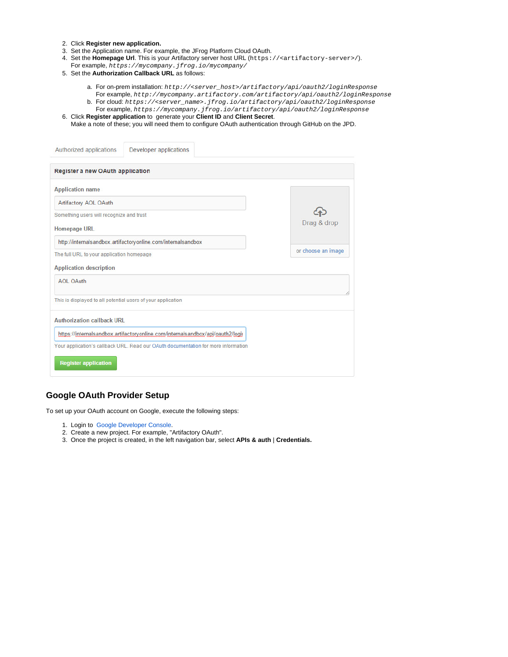- 2. Click **Register new application.**
- 3. Set the Application name. For example, the JFrog Platform Cloud OAuth.
- 4. Set the **Homepage Url**. This is your Artifactory server host URL (https://<artifactory-server>/).
- For example, <https://mycompany.jfrog.io/mycompany/>
- 5. Set the **Authorization Callback URL** as follows:
	- a. For on-prem installation: http://<server\_host>/artifactory/api/oauth2/loginResponse For example, <http://mycompany.artifactory.com/artifactory/api/oauth2/loginResponse>
	- b. For cloud: https://<server\_name>.jfrog.io/artifactory/api/oauth2/loginResponse
	- For example, [https://mycompany.jfrog.io/artifactory/api/oauth2/loginResponse](https://mycompany.jfrog.io/mycompany/api/oauth2/loginResponse) Click **Register application** to generate your **Client ID** and **Client Secret**.
- 6. Make a note of these; you will need them to configure OAuth authentication through GitHub on the JPD.

| Authorized applications<br>Developer applications                                  |                    |
|------------------------------------------------------------------------------------|--------------------|
| Register a new OAuth application                                                   |                    |
| <b>Application name</b>                                                            |                    |
| Artifactory AOL OAuth                                                              |                    |
| Something users will recognize and trust                                           |                    |
| <b>Homepage URL</b>                                                                | Drag & drop        |
| http://internalsandbox.artifactoryonline.com/internalsandbox                       |                    |
| The full URL to your application homepage                                          | or choose an image |
| <b>Application description</b>                                                     |                    |
| <b>AOL OAuth</b>                                                                   |                    |
| This is displayed to all potential users of your application                       |                    |
| <b>Authorization callback URL</b>                                                  |                    |
| https://internalsandbox.artifactoryonline.com/internalsandbox/api/oauth2/logii     |                    |
| Your application's callback URL. Read our OAuth documentation for more information |                    |
| <b>Register application</b>                                                        |                    |

### <span id="page-8-0"></span>**Google OAuth Provider Setup**

To set up your OAuth account on Google, execute the following steps:

- 1. Login to [Google Developer Console](https://console.developers.google.com/ ).
- 2. Create a new project. For example, "Artifactory OAuth".
- 3. Once the project is created, in the left navigation bar, select **APIs & auth** | **Credentials.**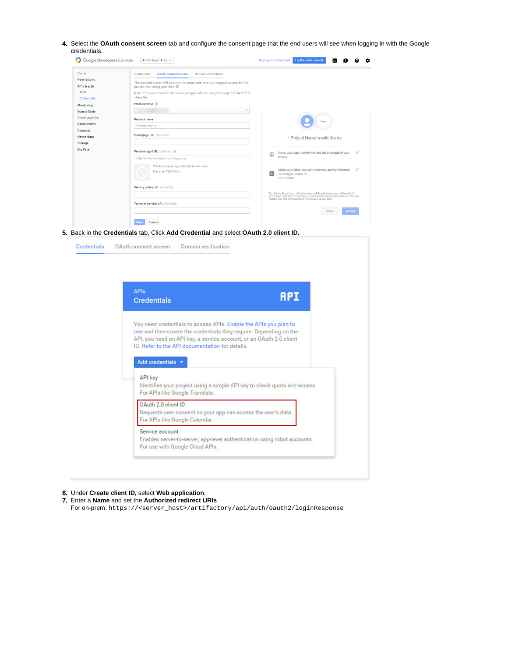4. Select the **OAuth consent screen** tab and configure the consent page that the end users will see when logging in with the Google credentials.

| Home                       | Credentials<br>OAuth consent screen<br>Domain verification                                                          |                                                                                                                                                                 |
|----------------------------|---------------------------------------------------------------------------------------------------------------------|-----------------------------------------------------------------------------------------------------------------------------------------------------------------|
| Permissions<br>APIs & auth | The consent screen will be shown to users whenever you request access to their<br>private data using your client ID |                                                                                                                                                                 |
| APIs<br>Credentials        | Note: This screen will be shown for all applications using this project's OAuth 2.0<br>client IDs                   |                                                                                                                                                                 |
| Monitoring                 | Email address @                                                                                                     |                                                                                                                                                                 |
| <b>Source Code</b>         | ٠                                                                                                                   |                                                                                                                                                                 |
| Cloud Launcher             | <b>Product name</b>                                                                                                 |                                                                                                                                                                 |
| Deployments                | Product name                                                                                                        | Logo                                                                                                                                                            |
| Compute                    |                                                                                                                     |                                                                                                                                                                 |
| Networking                 | <b>Homepage URL (Optional)</b>                                                                                      | - Project Name would like to:                                                                                                                                   |
| Storage                    |                                                                                                                     |                                                                                                                                                                 |
| <b>Big Data</b>            | Product logo URL (Optional) @                                                                                       | Know your basic profile info and list of people in your                                                                                                         |
|                            | http://www.example.com/logo.png                                                                                     | ☺<br>circles.                                                                                                                                                   |
|                            | This is how your logo will look to end users                                                                        |                                                                                                                                                                 |
|                            | Max size: 120x120 px                                                                                                | Make your listen, app and comment activity available<br>8 <sup>4</sup><br>via Google, visible to:<br>Your circles                                               |
|                            | Privacy policy URL (Optional)                                                                                       |                                                                                                                                                                 |
|                            |                                                                                                                     | By clicking Accept, you allow this app and Google to use your information in<br>accordance with their respective terms of service and privacy policies. You can |
|                            | Terms of service URL (Optional)                                                                                     | change this and other Account Permissions at any time.                                                                                                          |
|                            |                                                                                                                     | Accept<br>Cancel                                                                                                                                                |

5. Back in the **Credentials** tab, Click **Add Credential** and select **OAuth 2.0 client ID.**

| <b>APIs</b><br><b>Credentials</b>                                                                                                                                                                                                                                                                       | <b>API</b>                                                                |
|---------------------------------------------------------------------------------------------------------------------------------------------------------------------------------------------------------------------------------------------------------------------------------------------------------|---------------------------------------------------------------------------|
| You need credentials to access APIs. Enable the APIs you plan to<br>use and then create the credentials they require. Depending on the<br>API, you need an API key, a service account, or an OAuth 2.0 client<br>ID. Refer to the API documentation for details.<br>Add credentials v<br><b>API</b> key |                                                                           |
| For APIs like Google Translate.                                                                                                                                                                                                                                                                         | Identifies your project using a simple API key to check quota and access. |
| OAuth 2.0 client ID<br>Requests user consent so your app can access the user's data.<br>For APIs like Google Calendar.                                                                                                                                                                                  |                                                                           |
| Service account                                                                                                                                                                                                                                                                                         |                                                                           |

6. Under **Create client ID,** select **Web application**.

7. Enter a **Name** and set the **Authorized redirect URIs**

For on-prem: https://<server\_host>/artifactory/api/auth/oauth2/loginResponse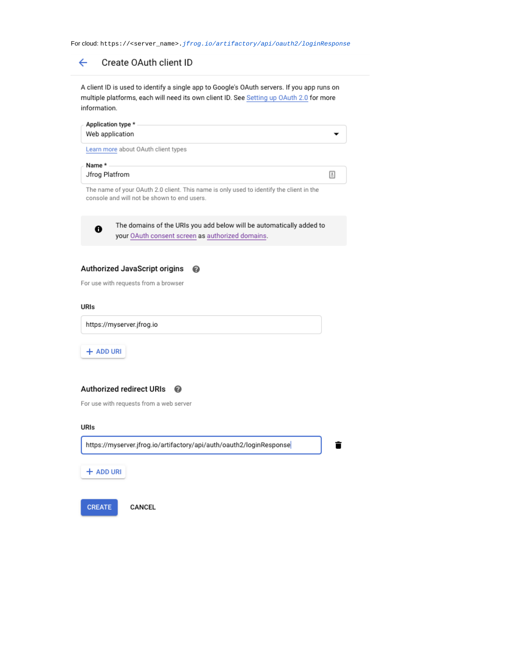For cloud: https://<server\_name>.jfrog.io/artifactory/api/oauth2/loginResponse

#### $\leftarrow$ Create OAuth client ID

A client ID is used to identify a single app to Google's OAuth servers. If you app runs on multiple platforms, each will need its own client ID. See Setting up OAuth 2.0 for more information.

| Application type *<br>Web application |     |
|---------------------------------------|-----|
| Learn more about OAuth client types   |     |
| Name *<br>Jfrog Platfrom              | l ± |

The name of your OAuth 2.0 client. This name is only used to identify the client in the console and will not be shown to end users.



The domains of the URIs you add below will be automatically added to your OAuth consent screen as authorized domains.

#### Authorized JavaScript origins 0

For use with requests from a browser

#### URIs

https://myserver.jfrog.io

+ ADD URI

## Authorized redirect URIs @

For use with requests from a web server

#### URIs

https://myserver.jfrog.io/artifactory/api/auth/oauth2/loginResponse

î

+ ADD URI

CREATE

CANCEL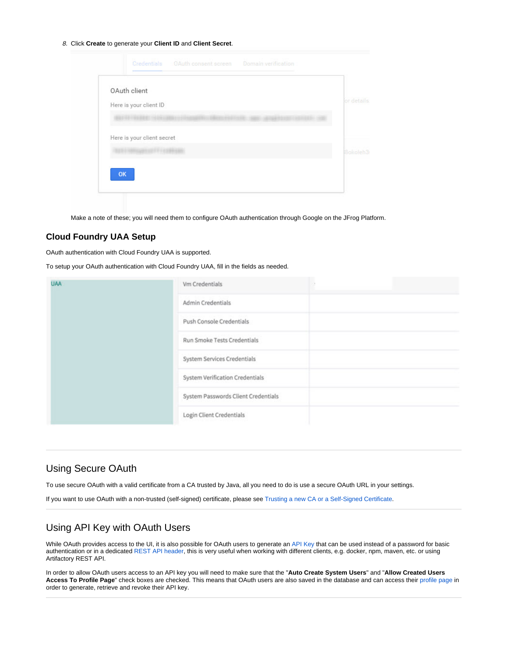8. Click **Create** to generate your **Client ID** and **Client Secret**.

| OAuth client               |                 |
|----------------------------|-----------------|
| Here is your client ID     | or details      |
|                            |                 |
| Here is your client secret |                 |
|                            | <b>Bokoleh3</b> |
|                            |                 |

Make a note of these; you will need them to configure OAuth authentication through Google on the JFrog Platform.

### <span id="page-11-0"></span>**Cloud Foundry UAA Setup**

OAuth authentication with Cloud Foundry UAA is supported.

To setup your OAuth authentication with Cloud Foundry UAA, fill in the fields as needed.

| <b>UAA</b> | Vm Credentials                      |  |
|------------|-------------------------------------|--|
|            | Admin Credentials                   |  |
|            | Push Console Credentials            |  |
|            | Run Smoke Tests Credentials         |  |
|            | System Services Credentials         |  |
|            | System Verification Credentials     |  |
|            | System Passwords Client Credentials |  |
|            | Login Client Credentials            |  |

## <span id="page-11-1"></span>Using Secure OAuth

To use secure OAuth with a valid certificate from a CA trusted by Java, all you need to do is use a secure OAuth URL in your settings.

If you want to use OAuth with a non-trusted (self-signed) certificate, please see [Trusting a new CA or a Self-Signed Certificate.](https://www.jfrog.com/confluence/display/JFROG/Managing+TLS+Certificates)

### <span id="page-11-2"></span>Using API Key with OAuth Users

While OAuth provides access to the UI, it is also possible for OAuth users to generate an [API Key](https://www.jfrog.com/confluence/display/JFROG/User+Profile#UserProfile-APIKey) that can be used instead of a password for basic authentication or in a dedicated [REST API header](https://www.jfrog.com/confluence/display/JFROG/Artifactory+REST+API#ArtifactoryRESTAPI-Authentication), this is very useful when working with different clients, e.g. docker, npm, maven, etc. or using Artifactory REST API.

<span id="page-11-3"></span>In order to allow OAuth users access to an API key you will need to make sure that the "**Auto Create System Users**" and "**Allow Created Users Access To Profile Page**" check boxes are checked. This means that OAuth users are also saved in the database and can access their [profile page](https://www.jfrog.com/confluence/display/JFROG/User+Profile) in order to generate, retrieve and revoke their API key.